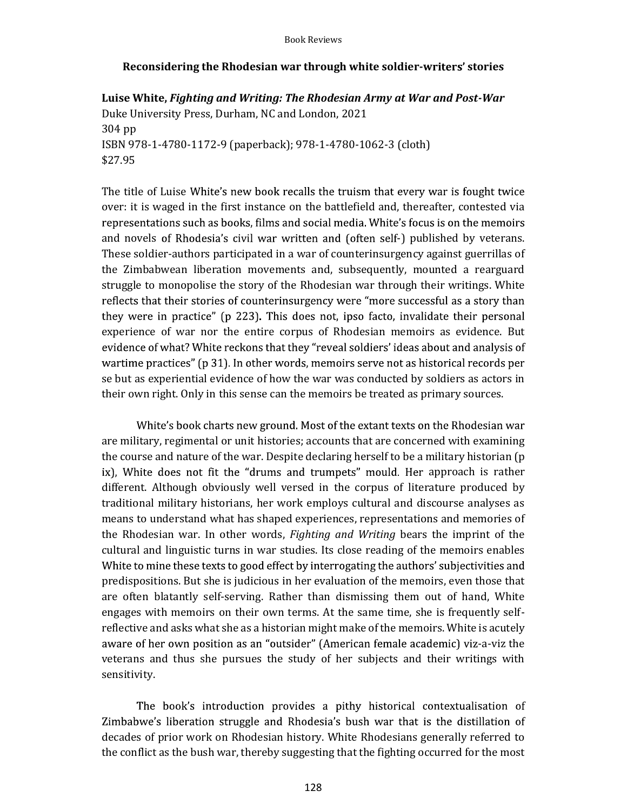## Reconsidering the Rhodesian war through white soldier-writers' stories

Luise White, Fighting and Writing: The Rhodesian Army at War and Post-War<br>Duke University Press, Durham, NC and London, 2021 304 pp ISBN 978-1-4780-1172-9 (paperback); 978-1-4780-1062-3 (cloth) \$27.95

The title of Luise White's new book recalls the truism that every war is fought twice over: it is waged in the first instance on the battlefield and, thereafter, contested via representations such as books, films and social media. White's focus is on the memoirs and novels of Rhodesia's civil war written and (often self-) published by veterans. These soldier-authors participated in a war of counterinsurgency against guerrillas of the Zimbabwean liberation movements and, subsequently, mounted a rearguard struggle to monopolise the story of the Rhodesian war through their writings. White reflects that their stories of counterinsurgency were "more successful as a story than they were in practice" (p 223). This does not, ipso facto, invalidate their personal experience of war nor the entire corpus of Rhodesian memoirs as evidence. But evidence of what? White reckons that they "reveal soldiers' ideas about and analysis of wartime practices" (p 31). In other words, memoirs serve not as historical records per se but as experiential evidence of how the war was conducted by soldiers as actors in their own right. Only in this sense can the memoirs be treated as primary sources.

White's book charts new ground. Most of the extant texts on the Rhodesian war are military, regimental or unit histories; accounts that are concerned with examining the course and nature of the war. Despite declaring herself to be a military historian (p ix), White does not fit the "drums and trumpets" mould. Her approach is rather different. Although obviously well versed in the corpus of literature produced by traditional military historians, her work employs cultural and discourse analyses as means to understand what has shaped experiences, representations and memories of the Rhodesian war. In other words, Fighting and Writing bears the imprint of the cultural and linguistic turns in war studies. Its close reading of the memoirs enables White to mine these texts to good effect by interrogating the authors' subjectivities and predispositions. But she is judicious in her evaluation of the memoirs, even those that are often blatantly self-serving. Rather than dismissing them out of hand, White engages with memoirs on their own terms. At the same time, she is frequently selfreflective and asks what she as a historian might make of the memoirs. White is acutely aware of her own position as an "outsider" (American female academic) viz-a-viz the veterans and thus she pursues the study of her subjects and their writings with sensitivity.

The book's introduction provides a pithy historical contextualisation of Zimbabwe's liberation struggle and Rhodesia's bush war that is the distillation of decades of prior work on Rhodesian history. White Rhodesians generally referred to the conflict as the bush war, thereby suggesting that the fighting occurred for the most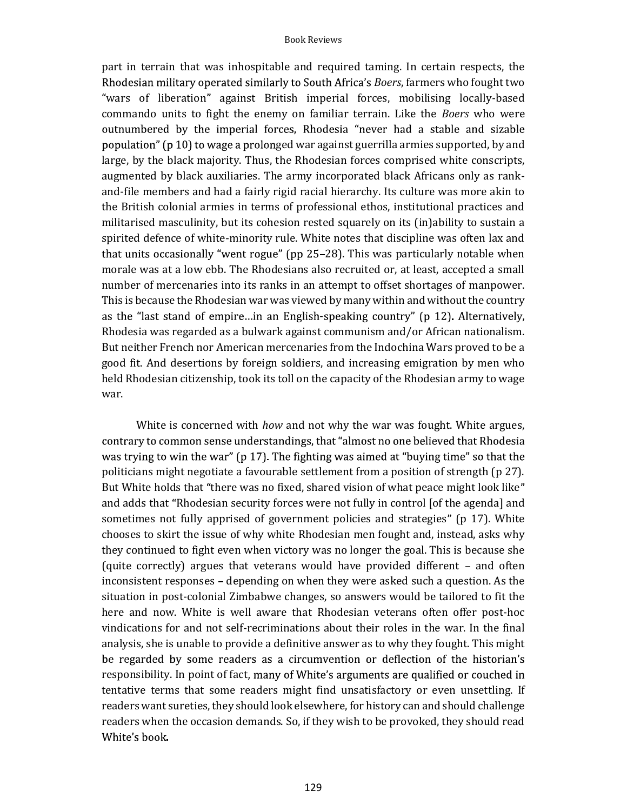part in terrain that was inhospitable and required taming. In certain respects, the Rhodesian military operated similarly to South Africa's Boers, farmers who fought two "wars of liberation" against British imperial forces, mobilising locally-based commando units to fight the enemy on familiar terrain. Like the Boers who were outnumbered by the imperial forces, Rhodesia "never had a stable and sizable population" (p 10) to wage a prolonged war against guerrilla armies supported, by and large, by the black majority. Thus, the Rhodesian forces comprised white conscripts, augmented by black auxiliaries. The army incorporated black Africans only as rankand-file members and had a fairly rigid racial hierarchy. Its culture was more akin to the British colonial armies in terms of professional ethos, institutional practices and militarised masculinity, but its cohesion rested squarely on its (in)ability to sustain a spirited defence of white-minority rule. White notes that discipline was often lax and that units occasionally "went rogue" (pp 25-28). This was particularly notable when morale was at a low ebb. The Rhodesians also recruited or, at least, accepted a small number of mercenaries into its ranks in an attempt to offset shortages of manpower. This is because the Rhodesian war was viewed by many within and without the country as the "last stand of empire...in an English-speaking country" (p 12). Alternatively, Rhodesia was regarded as a bulwark against communism and/or African nationalism. But neither French nor American mercenaries from the Indochina Wars proved to be a good fit. And desertions by foreign soldiers, and increasing emigration by men who held Rhodesian citizenship, took its toll on the capacity of the Rhodesian army to wage war.

White is concerned with *how* and not why the war was fought. White argues, contrary to common sense understandings, that "almost no one believed that Rhodesia was trying to win the war" (p 17). The fighting was aimed at "buying time" so that the politicians might negotiate a favourable settlement from a position of strength (p 27). But White holds that "there was no fixed, shared vision of what peace might look like" and adds that "Rhodesian security forces were not fully in control [of the agenda] and sometimes not fully apprised of government policies and strategies" (p 17). White chooses to skirt the issue of why white Rhodesian men fought and, instead, asks why they continued to fight even when victory was no longer the goal. This is because she (quite correctly) argues that veterans would have provided different  $-$  and often inconsistent responses – depending on when they were asked such a question. As the situation in post-colonial Zimbabwe changes, so answers would be tailored to fit the here and now. White is well aware that Rhodesian veterans often offer post-hoc vindications for and not self-recriminations about their roles in the war. In the final analysis, she is unable to provide a definitive answer as to why they fought. This might be regarded by some readers as a circumvention or deflection of the historian's responsibility. In point of fact, many of White's arguments are qualified or couched in tentative terms that some readers might find unsatisfactory or even unsettling. If readers want sureties, they should look elsewhere, for history can and should challenge readers when the occasion demands. So, if they wish to be provoked, they should read White's book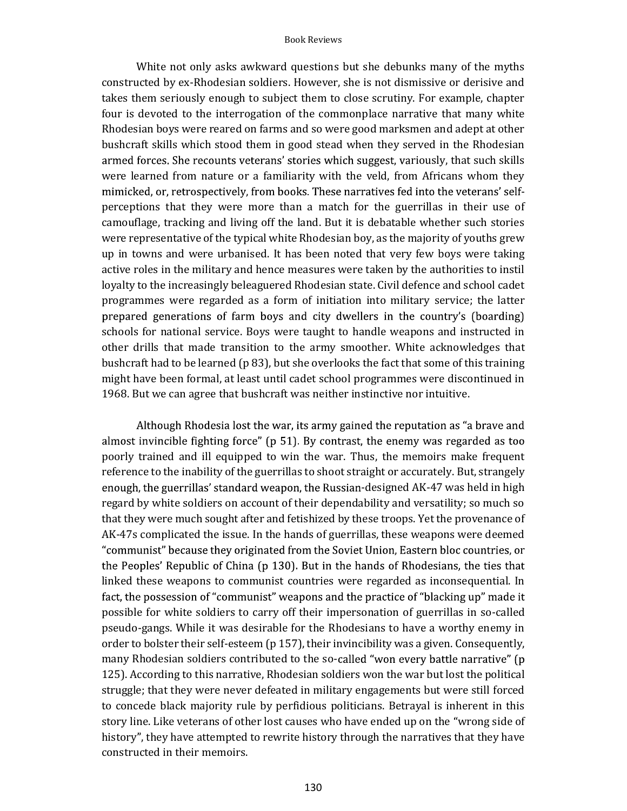## Book Reviews

White not only asks awkward questions but she debunks many of the myths constructed by ex-Rhodesian soldiers. However, she is not dismissive or derisive and takes them seriously enough to subject them to close scrutiny. For example, chapter four is devoted to the interrogation of the commonplace narrative that many white Rhodesian boys were reared on farms and so were good marksmen and adept at other bushcraft skills which stood them in good stead when they served in the Rhodesian armed forces. She recounts veterans' stories which suggest, variously, that such skills were learned from nature or a familiarity with the veld, from Africans whom they mimicked, or, retrospectively, from books. These narratives fed into the veterans' selfperceptions that they were more than a match for the guerrillas in their use of camouflage, tracking and living off the land. But it is debatable whether such stories were representative of the typical white Rhodesian boy, as the majority of youths grew up in towns and were urbanised. It has been noted that very few boys were taking active roles in the military and hence measures were taken by the authorities to instil loyalty to the increasingly beleaguered Rhodesian state. Civil defence and school cadet programmes were regarded as a form of initiation into military service; the latter prepared generations of farm boys and city dwellers in the country's (boarding) schools for national service. Boys were taught to handle weapons and instructed in other drills that made transition to the army smoother. White acknowledges that bushcraft had to be learned (p 83), but she overlooks the fact that some of this training might have been formal, at least until cadet school programmes were discontinued in 1968. But we can agree that bushcraft was neither instinctive nor intuitive.

Although Rhodesia lost the war, its army gained the reputation as "a brave and almost invincible fighting force" ( $p$  51). By contrast, the enemy was regarded as too poorly trained and ill equipped to win the war. Thus, the memoirs make frequent reference to the inability of the guerrillas to shoot straight or accurately. But, strangely enough, the guerrillas' standard weapon, the Russian-designed AK-47 was held in high regard by white soldiers on account of their dependability and versatility; so much so that they were much sought after and fetishized by these troops. Yet the provenance of AK-47s complicated the issue. In the hands of guerrillas, these weapons were deemed r the Peoples' Republic of China (p 130). But in the hands of Rhodesians, the ties that linked these weapons to communist countries were regarded as inconsequential. In fact, the possession of "communist" weapons and the practice of "blacking up" made it possible for white soldiers to carry off their impersonation of guerrillas in so-called pseudo-gangs. While it was desirable for the Rhodesians to have a worthy enemy in order to bolster their self-esteem (p 157), their invincibility was a given. Consequently, many Rhodesian soldiers contributed to the so-called "won every battle narrative" (p 125). According to this narrative, Rhodesian soldiers won the war but lost the political struggle; that they were never defeated in military engagements but were still forced to concede black majority rule by perfidious politicians. Betrayal is inherent in this story line. Like veterans of other lost causes who have ended up on the "wrong side of history", they have attempted to rewrite history through the narratives that they have constructed in their memoirs.